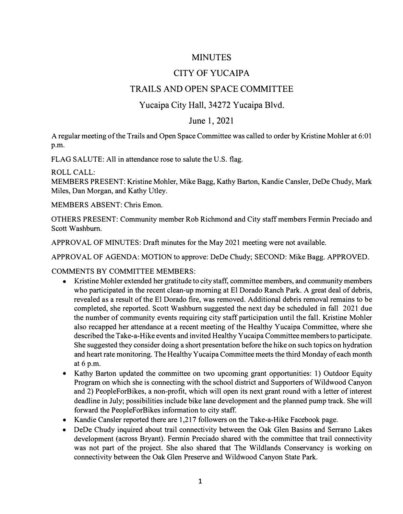## MINUTES

# CITY OF YUCAIPA

## TRAILS AND OPEN SPACE COMMITTEE

### Yucaipa City Hall, 34272 Yucaipa Blvd.

#### June 1, 2021

A regular meeting of the Trails and Open Space Committee was called to order by Kristine Mohler at 6:01 p.m.

FLAG SALUTE: All in attendance rose to salute the U.S. flag.

ROLL CALL:

MEMBERS PRESENT: Kristine Mohler, Mike Bagg, Kathy Barton, Kandie Cansler, DeDe Chudy, Mark Miles, Dan Morgan, and Kathy Utley.

MEMBERS ABSENT: Chris Emon.

OTHERS PRESENT: Community member Rob Richmond and City staff members Fermin Preciado and Scott Washburn.

APPROVAL OF MINUTES: Draft minutes for the May 2021 meeting were not available.

APPROVAL OF AGENDA: MOTION to approve: DeDe Chudy; SECOND: Mike Bagg. APPROVED.

COMMENTS BY COMMITTEE MEMBERS:

- Kristine Mohler extended her gratitude to city staff, committee members, and community members who participated in the recent clean-up morning at El Dorado Ranch Park. A great deal of debris, revealed as a result of the El Dorado fire, was removed. Additional debris removal remains to be completed, she reported. Scott Washburn suggested the next day be scheduled in fall 2021 due the number of community events requiring city staff participation until the fall. Kristine Mohler also recapped her attendance at a recent meeting of the Healthy Yucaipa Committee, where she described the Take-a-Hike events and invited Healthy Yucaipa Committee members to participate. She suggested they consider doing a short presentation before the hike on such topics on hydration and heart rate monitoring. The Healthy Yucaipa Committee meets the third Monday of each month at 6 p.m.
- Kathy Barton updated the committee on two upcoming grant opportunities: 1) Outdoor Equity Program on which she is connecting with the school district and Supporters of Wildwood Canyon and 2) PeopleForBikes, a non-profit, which will open its next grant round with a letter of interest deadline in July; possibilities include bike lane development and the planned pump track. She will forward the PeopleForBikes information to city staff.
- Kandie Cansler reported there are 1,217 followers on the Take-a-Hike Facebook page.
- DeDe Chudy inquired about trail connectivity between the Oak Glen Basins and Serrano Lakes development (across Bryant). Fermin Preciado shared with the committee that trail connectivity was not part of the project. She also shared that The Wildlands Conservancy is working on connectivity between the Oak Glen Preserve and Wildwood Canyon State Park.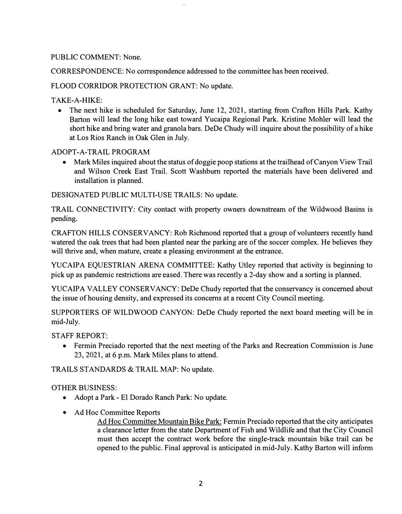#### PUBLIC COMMENT: None.

CORRESPONDENCE: No correspondence addressed to the committee has been received.

FLOOD CORRIDOR PROTECTION GRANT: No update.

TAKE-A-HIKE:

• The next hike is scheduled for Saturday, June 12, 2021, starting from Crafton Hills Park. Kathy Barton will lead the long hike east toward Yucaipa Regional Park. Kristine Mohler will lead the short hike and bring water and granola bars. DeDe Chudy will inquire about the possibility of a hike at Los Rios Ranch in Oak Glen in July.

ADOPT-A-TRAIL PROGRAM

• Mark Miles inquired about the status of doggie poop stations at the trailhead of Canyon View Trail and Wilson Creek East Trail. Scott Washburn reported the materials have been delivered and installation is planned.

DESIGNATED PUBLIC MULTI-USE TRAILS: No update.

TRAIL CONNECTIVITY: City contact with property owners downstream of the Wildwood Basins is pending.

CRAFTON HILLS CONSERVANCY: Rob Richmond reported that a group of volunteers recently hand watered the oak trees that had been planted near the parking are of the soccer complex. He believes they will thrive and, when mature, create a pleasing environment at the entrance.

YUCAIPA EQUESTRIAN ARENA COMMITTEE: Kathy Utley reported that activity is beginning to pick up as pandemic restrictions are eased. There was recently a 2-day show and a sorting is planned.

YUCAIPA VALLEY CONSERVANCY: DeDe Chudy reported that the conservancy is concerned about the issue of housing density, and expressed its concerns at a recent City Council meeting.

SUPPORTERS OF WILDWOOD CANYON: DeDe Chudy reported the next board meeting will be in mid-July.

STAFF REPORT:

• Fermin Preciado reported that the next meeting of the Parks and Recreation Commission is June 23, 2021, at 6 p.m. Mark Miles plans to attend.

TRAILS STANDARDS & TRAIL MAP: No update.

OTHER BUSINESS:

- Adopt a Park El Dorado Ranch Park: No update.
- Ad Hoc Committee Reports

Ad Hoc Committee Mountain Bike Park: Fermin Preciado reported that the city anticipates a clearance letter from the state Department of Fish and Wildlife and that the City Council must then accept the contract work before the single-track mountain bike trail can be opened to the public. Final approval is anticipated in mid-July. Kathy Barton will inform